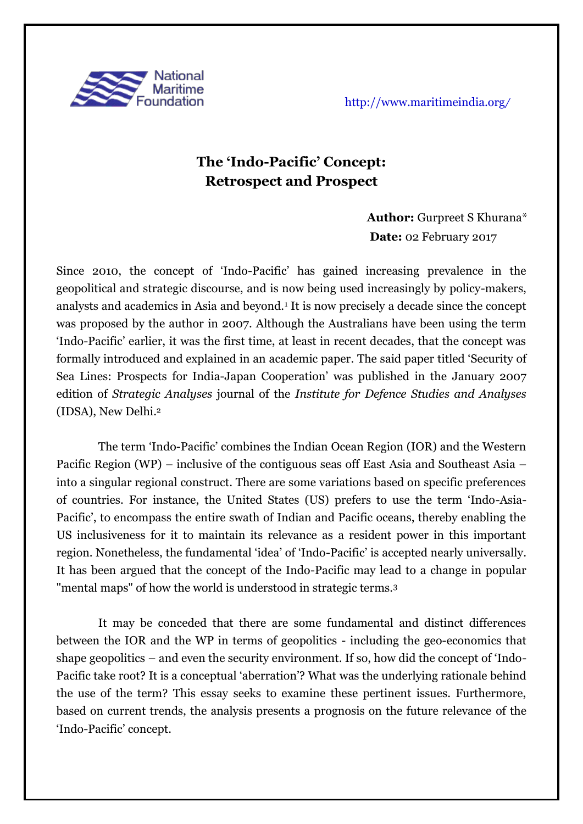

# **The 'Indo-Pacific' Concept: Retrospect and Prospect**

# **Author:** Gurpreet S Khurana\*  **Date:** 02 February 2017

Since 2010, the concept of 'Indo-Pacific' has gained increasing prevalence in the geopolitical and strategic discourse, and is now being used increasingly by policy-makers, analysts and academics in Asia and beyond.<sup>1</sup> It is now precisely a decade since the concept was proposed by the author in 2007. Although the Australians have been using the term 'Indo-Pacific' earlier, it was the first time, at least in recent decades, that the concept was formally introduced and explained in an academic paper. The said paper titled 'Security of Sea Lines: Prospects for India-Japan Cooperation' was published in the January 2007 edition of *Strategic Analyses* journal of the *Institute for Defence Studies and Analyses* (IDSA), New Delhi. 2

The term 'Indo-Pacific' combines the Indian Ocean Region (IOR) and the Western Pacific Region (WP) – inclusive of the contiguous seas off East Asia and Southeast Asia – into a singular regional construct. There are some variations based on specific preferences of countries. For instance, the United States (US) prefers to use the term 'Indo-Asia-Pacific', to encompass the entire swath of Indian and Pacific oceans, thereby enabling the US inclusiveness for it to maintain its relevance as a resident power in this important region. Nonetheless, the fundamental 'idea' of 'Indo-Pacific' is accepted nearly universally. It has been argued that the concept of the Indo-Pacific may lead to a change in popular "mental maps" of how the world is understood in strategic terms.<sup>3</sup>

It may be conceded that there are some fundamental and distinct differences between the IOR and the WP in terms of geopolitics - including the geo-economics that shape geopolitics – and even the security environment. If so, how did the concept of 'Indo-Pacific take root? It is a conceptual 'aberration'? What was the underlying rationale behind the use of the term? This essay seeks to examine these pertinent issues. Furthermore, based on current trends, the analysis presents a prognosis on the future relevance of the 'Indo-Pacific' concept.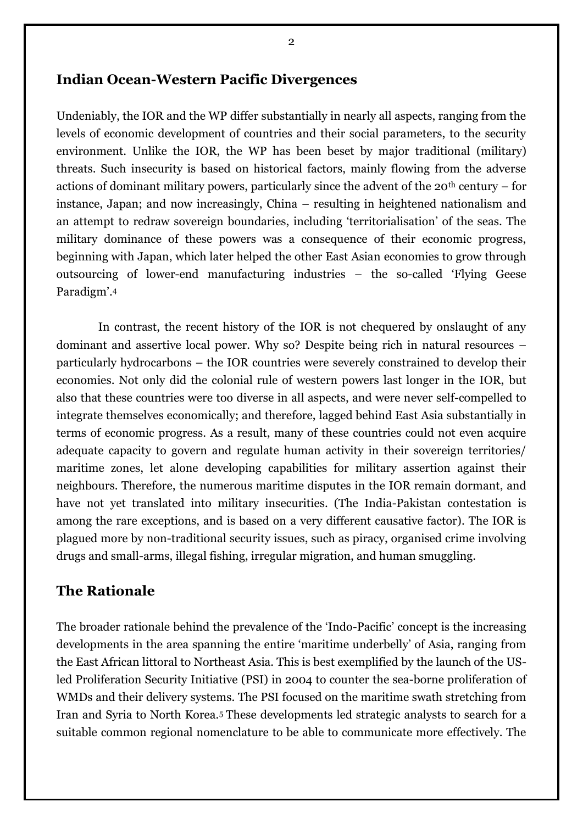#### **Indian Ocean-Western Pacific Divergences**

Undeniably, the IOR and the WP differ substantially in nearly all aspects, ranging from the levels of economic development of countries and their social parameters, to the security environment. Unlike the IOR, the WP has been beset by major traditional (military) threats. Such insecurity is based on historical factors, mainly flowing from the adverse actions of dominant military powers, particularly since the advent of the  $20<sup>th</sup>$  century – for instance, Japan; and now increasingly, China – resulting in heightened nationalism and an attempt to redraw sovereign boundaries, including 'territorialisation' of the seas. The military dominance of these powers was a consequence of their economic progress, beginning with Japan, which later helped the other East Asian economies to grow through outsourcing of lower-end manufacturing industries – the so-called 'Flying Geese Paradigm'. 4

In contrast, the recent history of the IOR is not chequered by onslaught of any dominant and assertive local power. Why so? Despite being rich in natural resources – particularly hydrocarbons – the IOR countries were severely constrained to develop their economies. Not only did the colonial rule of western powers last longer in the IOR, but also that these countries were too diverse in all aspects, and were never self-compelled to integrate themselves economically; and therefore, lagged behind East Asia substantially in terms of economic progress. As a result, many of these countries could not even acquire adequate capacity to govern and regulate human activity in their sovereign territories/ maritime zones, let alone developing capabilities for military assertion against their neighbours. Therefore, the numerous maritime disputes in the IOR remain dormant, and have not yet translated into military insecurities. (The India-Pakistan contestation is among the rare exceptions, and is based on a very different causative factor). The IOR is plagued more by non-traditional security issues, such as piracy, organised crime involving drugs and small-arms, illegal fishing, irregular migration, and human smuggling.

#### **The Rationale**

The broader rationale behind the prevalence of the 'Indo-Pacific' concept is the increasing developments in the area spanning the entire 'maritime underbelly' of Asia, ranging from the East African littoral to Northeast Asia. This is best exemplified by the launch of the USled Proliferation Security Initiative (PSI) in 2004 to counter the sea-borne proliferation of WMDs and their delivery systems. The PSI focused on the maritime swath stretching from Iran and Syria to North Korea.<sup>5</sup> These developments led strategic analysts to search for a suitable common regional nomenclature to be able to communicate more effectively. The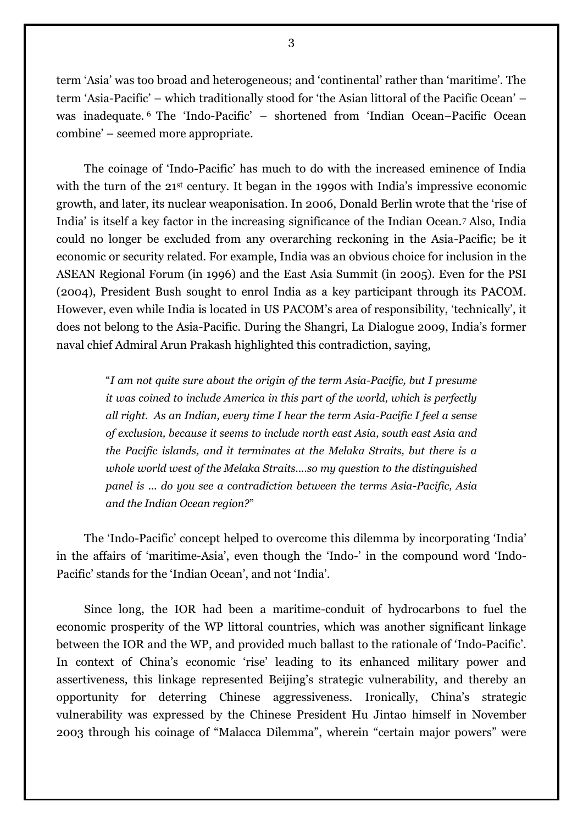term 'Asia' was too broad and heterogeneous; and 'continental' rather than 'maritime'. The term 'Asia-Pacific' – which traditionally stood for 'the Asian littoral of the Pacific Ocean' – was inadequate. <sup>6</sup> The 'Indo-Pacific' – shortened from 'Indian Ocean–Pacific Ocean combine' – seemed more appropriate.

The coinage of 'Indo-Pacific' has much to do with the increased eminence of India with the turn of the 21<sup>st</sup> century. It began in the 1990s with India's impressive economic growth, and later, its nuclear weaponisation. In 2006, Donald Berlin wrote that the 'rise of India' is itself a key factor in the increasing significance of the Indian Ocean.<sup>7</sup> Also, India could no longer be excluded from any overarching reckoning in the Asia-Pacific; be it economic or security related. For example, India was an obvious choice for inclusion in the ASEAN Regional Forum (in 1996) and the East Asia Summit (in 2005). Even for the PSI (2004), President Bush sought to enrol India as a key participant through its PACOM. However, even while India is located in US PACOM's area of responsibility, 'technically', it does not belong to the Asia-Pacific. During the Shangri, La Dialogue 2009, India's former naval chief Admiral Arun Prakash highlighted this contradiction, saying,

> "*I am not quite sure about the origin of the term Asia-Pacific, but I presume it was coined to include America in this part of the world, which is perfectly all right. As an Indian, every time I hear the term Asia-Pacific I feel a sense of exclusion, because it seems to include north east Asia, south east Asia and the Pacific islands, and it terminates at the Melaka Straits, but there is a whole world west of the Melaka Straits....so my question to the distinguished panel is ... do you see a contradiction between the terms Asia-Pacific, Asia and the Indian Ocean region?*"

The 'Indo-Pacific' concept helped to overcome this dilemma by incorporating 'India' in the affairs of 'maritime-Asia', even though the 'Indo-' in the compound word 'Indo-Pacific' stands for the 'Indian Ocean', and not 'India'.

Since long, the IOR had been a maritime-conduit of hydrocarbons to fuel the economic prosperity of the WP littoral countries, which was another significant linkage between the IOR and the WP, and provided much ballast to the rationale of 'Indo-Pacific'. In context of China's economic 'rise' leading to its enhanced military power and assertiveness, this linkage represented Beijing's strategic vulnerability, and thereby an opportunity for deterring Chinese aggressiveness. Ironically, China's strategic vulnerability was expressed by the Chinese President Hu Jintao himself in November 2003 through his coinage of "Malacca Dilemma", wherein "certain major powers" were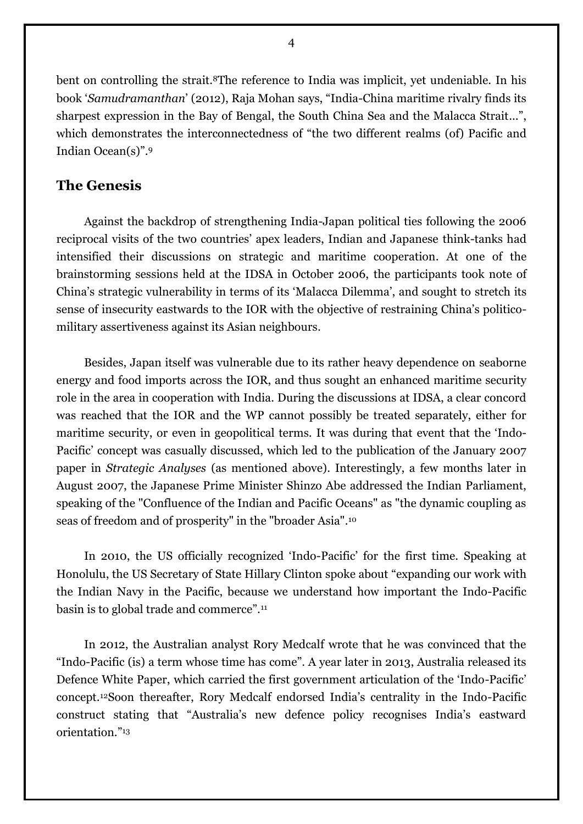bent on controlling the strait.<sup>8</sup>The reference to India was implicit, yet undeniable. In his book '*Samudramanthan*' (2012), Raja Mohan says, "India-China maritime rivalry finds its sharpest expression in the Bay of Bengal, the South China Sea and the Malacca Strait...", which demonstrates the interconnectedness of "the two different realms (of) Pacific and Indian Ocean(s)".<sup>9</sup>

### **The Genesis**

Against the backdrop of strengthening India-Japan political ties following the 2006 reciprocal visits of the two countries' apex leaders, Indian and Japanese think-tanks had intensified their discussions on strategic and maritime cooperation. At one of the brainstorming sessions held at the IDSA in October 2006, the participants took note of China's strategic vulnerability in terms of its 'Malacca Dilemma', and sought to stretch its sense of insecurity eastwards to the IOR with the objective of restraining China's politicomilitary assertiveness against its Asian neighbours.

Besides, Japan itself was vulnerable due to its rather heavy dependence on seaborne energy and food imports across the IOR, and thus sought an enhanced maritime security role in the area in cooperation with India. During the discussions at IDSA, a clear concord was reached that the IOR and the WP cannot possibly be treated separately, either for maritime security, or even in geopolitical terms. It was during that event that the 'Indo-Pacific' concept was casually discussed, which led to the publication of the January 2007 paper in *Strategic Analyses* (as mentioned above). Interestingly, a few months later in August 2007, the Japanese Prime Minister Shinzo Abe addressed the Indian Parliament, speaking of the "Confluence of the Indian and Pacific Oceans" as "the dynamic coupling as seas of freedom and of prosperity" in the "broader Asia". 10

In 2010, the US officially recognized 'Indo-Pacific' for the first time. Speaking at Honolulu, the US Secretary of State Hillary Clinton spoke about "expanding our work with the Indian Navy in the Pacific, because we understand how important the Indo-Pacific basin is to global trade and commerce".<sup>11</sup>

In 2012, the Australian analyst Rory Medcalf wrote that he was convinced that the "Indo-Pacific (is) a term [whose](http://thediplomat.com/flashpoints-blog/2012/12/04/a-term-whose-time-has-come-the-indo-pacific/) time has come". A year later in 2013, Australia released its Defence White Paper, which carried the first government articulation of the 'Indo-Pacific' concept.12Soon thereafter, Rory Medcalf endorsed India's centrality in the Indo-Pacific construct stating that "Australia's new defence policy recognises India's eastward orientation."13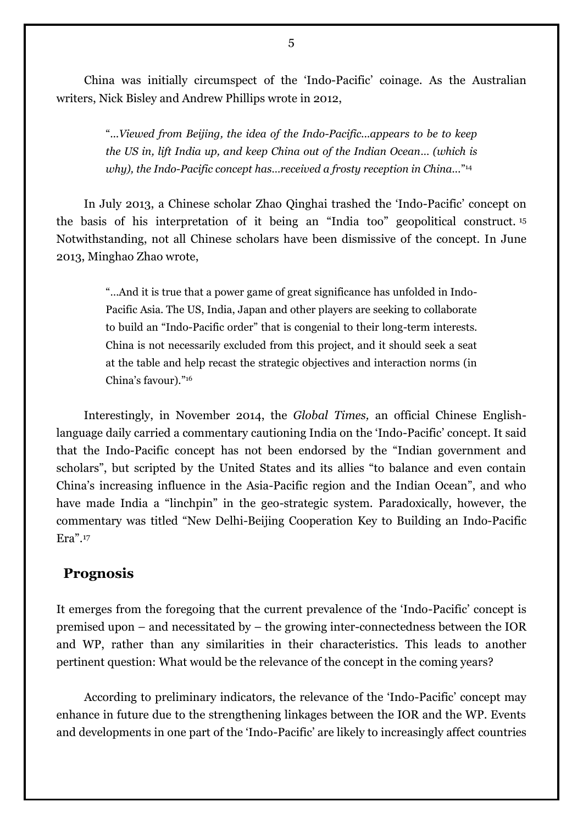China was initially circumspect of the 'Indo-Pacific' coinage. As the Australian writers, Nick Bisley and Andrew Phillips wrote in 2012,

> "*...Viewed from Beijing, the idea of the Indo-Pacific...appears to be to keep the US in, lift India up, and keep China out of the Indian Ocean… (which is why), the Indo-Pacific concept has…received a frosty reception in China...*" 14

In July 2013, a Chinese scholar Zhao Qinghai trashed the 'Indo-Pacific' concept on the basis of his interpretation of it being an "India too" geopolitical construct. <sup>15</sup> Notwithstanding, not all Chinese scholars have been dismissive of the concept. In June 2013, Minghao Zhao wrote,

> "…And it is true that a power game of great significance has unfolded in Indo-Pacific Asia. The US, India, Japan and other players are seeking to collaborate to build an "Indo-Pacific order" that is congenial to their long-term interests. China is not necessarily excluded from this project, and it should seek a seat at the table and help recast the strategic objectives and interaction norms (in China's favour)."<sup>16</sup>

Interestingly, in November 2014, the *Global Times,* an official Chinese Englishlanguage daily carried a commentary cautioning India on the 'Indo-Pacific' concept. It said that the Indo-Pacific concept has not been endorsed by the "Indian government and scholars", but scripted by the United States and its allies "to balance and even contain China's increasing influence in the Asia-Pacific region and the Indian Ocean", and who have made India a "linchpin" in the geo-strategic system. Paradoxically, however, the commentary was titled "New Delhi-Beijing Cooperation Key to Building an Indo-Pacific Era". 17

#### **Prognosis**

It emerges from the foregoing that the current prevalence of the 'Indo-Pacific' concept is premised upon – and necessitated by – the growing inter-connectedness between the IOR and WP, rather than any similarities in their characteristics. This leads to another pertinent question: What would be the relevance of the concept in the coming years?

According to preliminary indicators, the relevance of the 'Indo-Pacific' concept may enhance in future due to the strengthening linkages between the IOR and the WP. Events and developments in one part of the 'Indo-Pacific' are likely to increasingly affect countries

5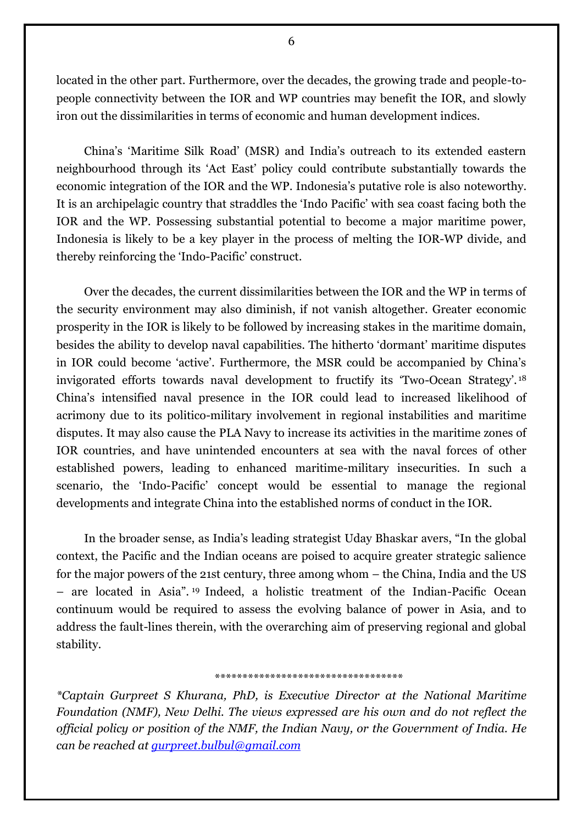located in the other part. Furthermore, over the decades, the growing trade and people-topeople connectivity between the IOR and WP countries may benefit the IOR, and slowly iron out the dissimilarities in terms of economic and human development indices.

China's 'Maritime Silk Road' (MSR) and India's outreach to its extended eastern neighbourhood through its 'Act East' policy could contribute substantially towards the economic integration of the IOR and the WP. Indonesia's putative role is also noteworthy. It is an archipelagic country that straddles the 'Indo Pacific' with sea coast facing both the IOR and the WP. Possessing substantial potential to become a major maritime power, Indonesia is likely to be a key player in the process of melting the IOR-WP divide, and thereby reinforcing the 'Indo-Pacific' construct.

Over the decades, the current dissimilarities between the IOR and the WP in terms of the security environment may also diminish, if not vanish altogether. Greater economic prosperity in the IOR is likely to be followed by increasing stakes in the maritime domain, besides the ability to develop naval capabilities. The hitherto 'dormant' maritime disputes in IOR could become 'active'. Furthermore, the MSR could be accompanied by China's invigorated efforts towards naval development to fructify its 'Two-Ocean Strategy'. <sup>18</sup> China's intensified naval presence in the IOR could lead to increased likelihood of acrimony due to its politico-military involvement in regional instabilities and maritime disputes. It may also cause the PLA Navy to increase its activities in the maritime zones of IOR countries, and have unintended encounters at sea with the naval forces of other established powers, leading to enhanced maritime-military insecurities. In such a scenario, the 'Indo-Pacific' concept would be essential to manage the regional developments and integrate China into the established norms of conduct in the IOR.

In the broader sense, as India's leading strategist Uday Bhaskar avers, "In the global context, the Pacific and the Indian oceans are poised to acquire greater strategic salience for the major powers of the 21st century, three among whom – the China, India and the US – are located in Asia". <sup>19</sup> Indeed, a holistic treatment of the Indian-Pacific Ocean continuum would be required to assess the evolving balance of power in Asia, and to address the fault-lines therein, with the overarching aim of preserving regional and global stability.

#### \*\*\*\*\*\*\*\*\*\*\*\*\*\*\*\*\*\*\*\*\*\*\*\*\*\*\*\*\*\*\*\*\*\*

*\*Captain Gurpreet S Khurana, PhD, is Executive Director at the National Maritime Foundation (NMF), New Delhi. The views expressed are his own and do not reflect the official policy or position of the NMF, the Indian Navy, or the Government of India. He can be reached at [gurpreet.bulbul@gmail.com](mailto:gurpreet.bulbul@gmail.com)*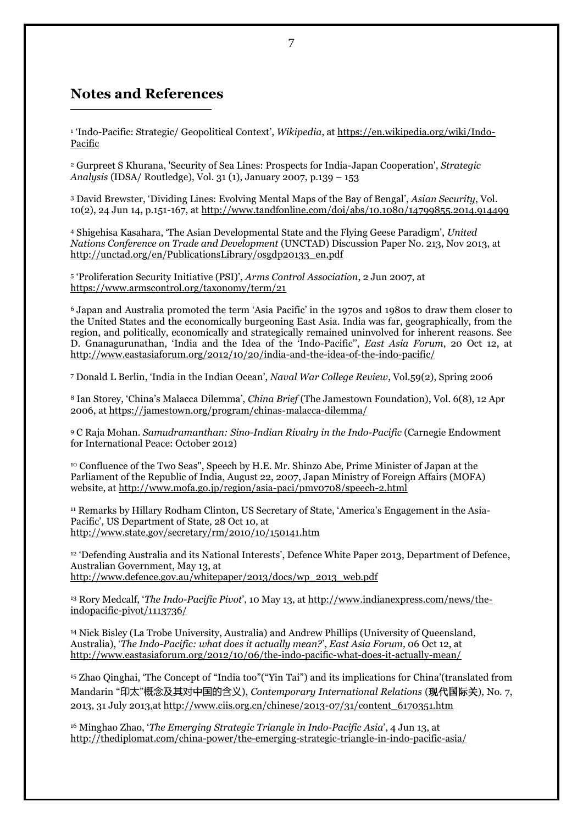## **Notes and References**

**.** 

1 'Indo-Pacific: Strategic/ Geopolitical Context', *Wikipedia*, a[t https://en.wikipedia.org/wiki/Indo-](https://en.wikipedia.org/wiki/Indo-Pacific)[Pacific](https://en.wikipedia.org/wiki/Indo-Pacific)

<sup>2</sup> Gurpreet S Khurana, 'Security of Sea Lines: Prospects for India-Japan Cooperation', *Strategic Analysis* (IDSA/ Routledge), Vol. 31 (1), January 2007, p.139 – 153

<sup>3</sup> David Brewster, 'Dividing Lines: Evolving Mental Maps of the Bay of Bengal', *Asian Security*, Vol. 10(2), 24 Jun 14, p.151-167, a[t http://www.tandfonline.com/doi/abs/10.1080/14799855.2014.914499](http://www.tandfonline.com/doi/abs/10.1080/14799855.2014.914499)

<sup>4</sup> Shigehisa Kasahara, 'The Asian Developmental State and the Flying Geese Paradigm', *United Nations Conference on Trade and Development* (UNCTAD) Discussion Paper No. 213, Nov 2013, at [http://unctad.org/en/PublicationsLibrary/osgdp20133\\_en.pdf](http://unctad.org/en/PublicationsLibrary/osgdp20133_en.pdf)

<sup>5</sup> 'Proliferation Security Initiative (PSI)', *Arms Control Association*, 2 Jun 2007, at <https://www.armscontrol.org/taxonomy/term/21>

<sup>6</sup> Japan and Australia promoted [the term 'Asia Pacific'](http://www.eastasiaforum.org/2009/12/06/thinking-about-the-asia-pacific-community/) in the 1970s and 1980s to draw them closer to the United States and the economically burgeoning East Asia. India was far, geographically, from the region, and politically, economically and strategically remained uninvolved for inherent reasons. See D. Gnanagurunathan, 'India and the Idea of the 'Indo-Pacific'', *East Asia Forum*, 20 Oct 12, at <http://www.eastasiaforum.org/2012/10/20/india-and-the-idea-of-the-indo-pacific/>

<sup>7</sup> Donald L Berlin, 'India in the Indian Ocean', *Naval War College Review*, Vol.59(2), Spring 2006

<sup>8</sup> Ian Storey, 'China's Malacca Dilemma', *China Brief* (The Jamestown Foundation), Vol. 6(8), 12 Apr 2006, a[t https://jamestown.org/program/chinas-malacca-dilemma/](https://jamestown.org/program/chinas-malacca-dilemma/)

<sup>9</sup> C Raja Mohan. *Samudramanthan: Sino-Indian Rivalry in the Indo-Pacific* (Carnegie Endowment for International Peace: October 2012)

<sup>10</sup> Confluence of the Two Seas", Speech by H.E. Mr. Shinzo Abe, Prime Minister of Japan at the Parliament of the Republic of India, August 22, 2007, Japan Ministry of Foreign Affairs (MOFA) website, at <http://www.mofa.go.jp/region/asia-paci/pmv0708/speech-2.html>

<sup>11</sup> Remarks by Hillary Rodham Clinton, US Secretary of State, 'America's Engagement in the Asia-Pacific', US Department of State, 28 Oct 10, at <http://www.state.gov/secretary/rm/2010/10/150141.htm>

<sup>12</sup> 'Defending Australia and its National Interests', Defence White Paper 2013, Department of Defence, Australian Government, May 13, at [http://www.defence.gov.au/whitepaper/2013/docs/wp\\_2013\\_web.pdf](http://www.defence.gov.au/whitepaper/2013/docs/wp_2013_web.pdf)

<sup>13</sup> Rory Medcalf, '*The Indo-Pacific Pivot*', 10 May 13, at [http://www.indianexpress.com/news/the](http://www.indianexpress.com/news/the-indopacific-pivot/1113736/)[indopacific-pivot/1113736/](http://www.indianexpress.com/news/the-indopacific-pivot/1113736/)

<sup>14</sup> Nick Bisley (La Trobe University, Australia) and Andrew Phillips (University of Queensland, Australia), '*The Indo-Pacific: what does it actually mean?*', *East Asia Forum*, 06 Oct 12, at <http://www.eastasiaforum.org/2012/10/06/the-indo-pacific-what-does-it-actually-mean/>

<sup>15</sup> Zhao Qinghai, 'The Concept of "India too"("Yin Tai") and its implications for China'(translated from Mandarin "印太"概念及其对中国的含义), *Contemporary International Relations* (现代国际关), No. 7, 2013, 31 July 2013,at [http://www.ciis.org.cn/chinese/2013-07/31/content\\_6170351.htm](http://www.ciis.org.cn/chinese/2013-07/31/content_6170351.htm)

<sup>16</sup> Minghao Zhao, '*The Emerging Strategic Triangle in [Indo-Pacific](http://thediplomat.com/china-power/the-emerging-strategic-triangle-in-indo-pacific-asia/) Asia*', 4 Jun 13, at <http://thediplomat.com/china-power/the-emerging-strategic-triangle-in-indo-pacific-asia/>